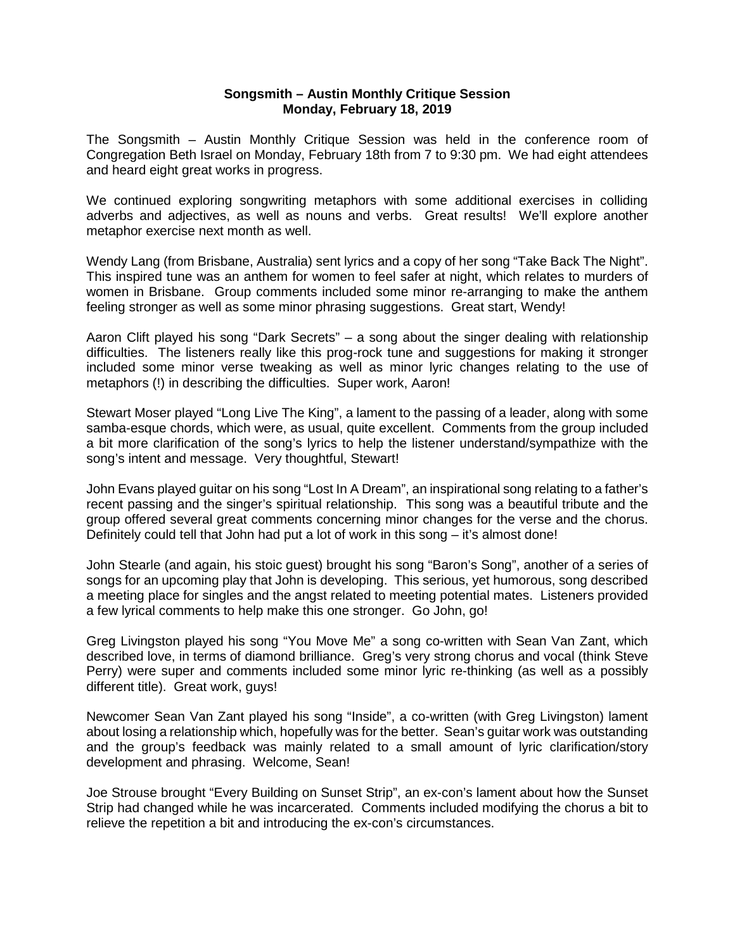## **Songsmith – Austin Monthly Critique Session Monday, February 18, 2019**

The Songsmith – Austin Monthly Critique Session was held in the conference room of Congregation Beth Israel on Monday, February 18th from 7 to 9:30 pm. We had eight attendees and heard eight great works in progress.

We continued exploring songwriting metaphors with some additional exercises in colliding adverbs and adjectives, as well as nouns and verbs. Great results! We'll explore another metaphor exercise next month as well.

Wendy Lang (from Brisbane, Australia) sent lyrics and a copy of her song "Take Back The Night". This inspired tune was an anthem for women to feel safer at night, which relates to murders of women in Brisbane. Group comments included some minor re-arranging to make the anthem feeling stronger as well as some minor phrasing suggestions. Great start, Wendy!

Aaron Clift played his song "Dark Secrets" – a song about the singer dealing with relationship difficulties. The listeners really like this prog-rock tune and suggestions for making it stronger included some minor verse tweaking as well as minor lyric changes relating to the use of metaphors (!) in describing the difficulties. Super work, Aaron!

Stewart Moser played "Long Live The King", a lament to the passing of a leader, along with some samba-esque chords, which were, as usual, quite excellent. Comments from the group included a bit more clarification of the song's lyrics to help the listener understand/sympathize with the song's intent and message. Very thoughtful, Stewart!

John Evans played guitar on his song "Lost In A Dream", an inspirational song relating to a father's recent passing and the singer's spiritual relationship. This song was a beautiful tribute and the group offered several great comments concerning minor changes for the verse and the chorus. Definitely could tell that John had put a lot of work in this song – it's almost done!

John Stearle (and again, his stoic guest) brought his song "Baron's Song", another of a series of songs for an upcoming play that John is developing. This serious, yet humorous, song described a meeting place for singles and the angst related to meeting potential mates. Listeners provided a few lyrical comments to help make this one stronger. Go John, go!

Greg Livingston played his song "You Move Me" a song co-written with Sean Van Zant, which described love, in terms of diamond brilliance. Greg's very strong chorus and vocal (think Steve Perry) were super and comments included some minor lyric re-thinking (as well as a possibly different title). Great work, guys!

Newcomer Sean Van Zant played his song "Inside", a co-written (with Greg Livingston) lament about losing a relationship which, hopefully was for the better. Sean's guitar work was outstanding and the group's feedback was mainly related to a small amount of lyric clarification/story development and phrasing. Welcome, Sean!

Joe Strouse brought "Every Building on Sunset Strip", an ex-con's lament about how the Sunset Strip had changed while he was incarcerated. Comments included modifying the chorus a bit to relieve the repetition a bit and introducing the ex-con's circumstances.